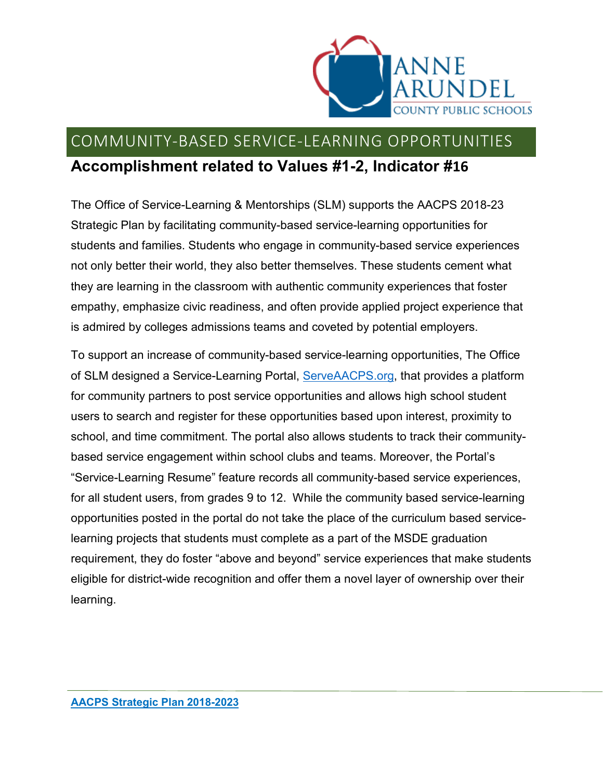

## COMMUNITY-BASED SERVICE-LEARNING OPPORTUNITIES **Accomplishment related to Values #1-2, Indicator #16**

The Office of Service-Learning & Mentorships (SLM) supports the AACPS 2018-23 Strategic Plan by facilitating community-based service-learning opportunities for students and families. Students who engage in community-based service experiences not only better their world, they also better themselves. These students cement what they are learning in the classroom with authentic community experiences that foster empathy, emphasize civic readiness, and often provide applied project experience that is admired by colleges admissions teams and coveted by potential employers.

To support an increase of community-based service-learning opportunities, The Office of SLM designed a Service-Learning Portal, [ServeAACPS.org,](http://serveaacps.org/) that provides a platform for community partners to post service opportunities and allows high school student users to search and register for these opportunities based upon interest, proximity to school, and time commitment. The portal also allows students to track their communitybased service engagement within school clubs and teams. Moreover, the Portal's "Service-Learning Resume" feature records all community-based service experiences, for all student users, from grades 9 to 12. While the community based service-learning opportunities posted in the portal do not take the place of the curriculum based servicelearning projects that students must complete as a part of the MSDE graduation requirement, they do foster "above and beyond" service experiences that make students eligible for district-wide recognition and offer them a novel layer of ownership over their learning.